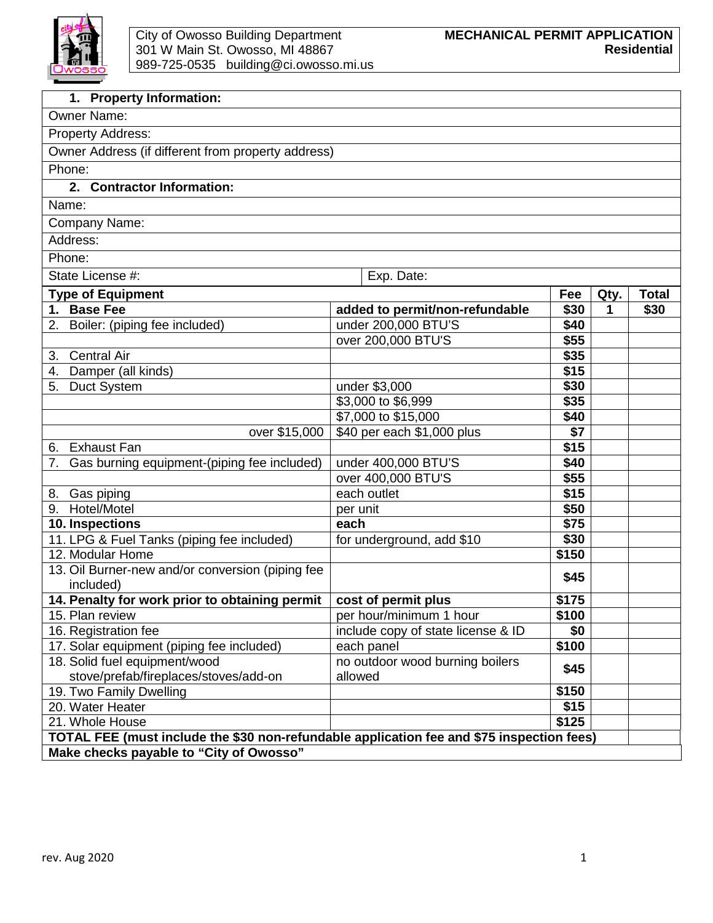

| 1. Property Information:                                                                  |                                    |              |           |                      |
|-------------------------------------------------------------------------------------------|------------------------------------|--------------|-----------|----------------------|
| <b>Owner Name:</b>                                                                        |                                    |              |           |                      |
| <b>Property Address:</b>                                                                  |                                    |              |           |                      |
| Owner Address (if different from property address)                                        |                                    |              |           |                      |
| Phone:                                                                                    |                                    |              |           |                      |
| 2. Contractor Information:                                                                |                                    |              |           |                      |
| Name:                                                                                     |                                    |              |           |                      |
| Company Name:                                                                             |                                    |              |           |                      |
| Address:                                                                                  |                                    |              |           |                      |
| Phone:                                                                                    |                                    |              |           |                      |
| State License #:                                                                          | Exp. Date:                         |              |           |                      |
|                                                                                           |                                    |              |           |                      |
| <b>Type of Equipment</b><br>1. Base Fee                                                   | added to permit/non-refundable     | Fee<br>\$30  | Qty.<br>1 | <b>Total</b><br>\$30 |
|                                                                                           | under 200,000 BTU'S                | \$40         |           |                      |
| 2. Boiler: (piping fee included)                                                          | over 200,000 BTU'S                 | \$55         |           |                      |
| <b>Central Air</b>                                                                        |                                    |              |           |                      |
| 3.<br>4.                                                                                  |                                    | \$35<br>\$15 |           |                      |
| Damper (all kinds)<br>5.                                                                  | under \$3,000                      | \$30         |           |                      |
| <b>Duct System</b>                                                                        | \$3,000 to \$6,999                 | \$35         |           |                      |
|                                                                                           | \$7,000 to \$15,000                | \$40         |           |                      |
| over \$15,000                                                                             | \$40 per each \$1,000 plus         | \$7          |           |                      |
| <b>Exhaust Fan</b><br>6.                                                                  |                                    | \$15         |           |                      |
| Gas burning equipment-(piping fee included)<br>7.                                         | under 400,000 BTU'S                | \$40         |           |                      |
|                                                                                           | over 400,000 BTU'S                 | \$55         |           |                      |
| 8. Gas piping                                                                             | each outlet                        | \$15         |           |                      |
| Hotel/Motel<br>9.                                                                         | per unit                           | \$50         |           |                      |
| 10. Inspections                                                                           | each                               | \$75         |           |                      |
| 11. LPG & Fuel Tanks (piping fee included)                                                | for underground, add \$10          | \$30         |           |                      |
| 12. Modular Home                                                                          |                                    | \$150        |           |                      |
| 13. Oil Burner-new and/or conversion (piping fee<br>included)                             |                                    | \$45         |           |                      |
| 14. Penalty for work prior to obtaining permit                                            | cost of permit plus                | \$175        |           |                      |
| 15. Plan review                                                                           | per hour/minimum 1 hour            | \$100        |           |                      |
| 16. Registration fee                                                                      | include copy of state license & ID | \$0          |           |                      |
| 17. Solar equipment (piping fee included)                                                 | each panel                         | \$100        |           |                      |
| 18. Solid fuel equipment/wood                                                             | no outdoor wood burning boilers    | \$45         |           |                      |
| stove/prefab/fireplaces/stoves/add-on                                                     | allowed                            |              |           |                      |
| 19. Two Family Dwelling                                                                   |                                    | \$150        |           |                      |
| 20. Water Heater                                                                          |                                    | \$15         |           |                      |
| 21. Whole House                                                                           |                                    | \$125        |           |                      |
| TOTAL FEE (must include the \$30 non-refundable application fee and \$75 inspection fees) |                                    |              |           |                      |
| Make checks payable to "City of Owosso"                                                   |                                    |              |           |                      |